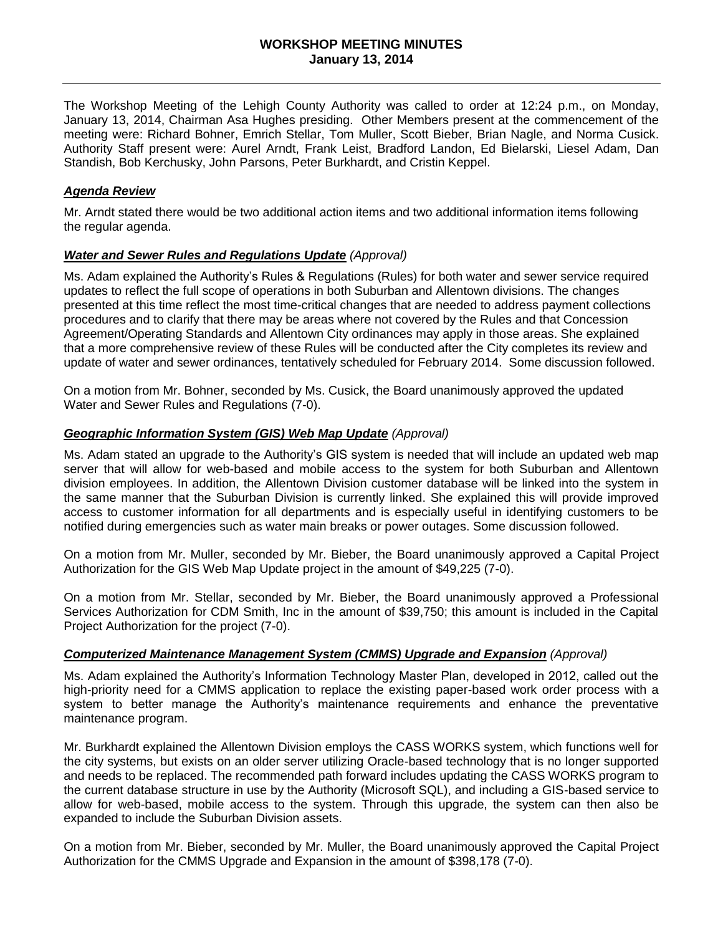The Workshop Meeting of the Lehigh County Authority was called to order at 12:24 p.m., on Monday, January 13, 2014, Chairman Asa Hughes presiding. Other Members present at the commencement of the meeting were: Richard Bohner, Emrich Stellar, Tom Muller, Scott Bieber, Brian Nagle, and Norma Cusick. Authority Staff present were: Aurel Arndt, Frank Leist, Bradford Landon, Ed Bielarski, Liesel Adam, Dan Standish, Bob Kerchusky, John Parsons, Peter Burkhardt, and Cristin Keppel.

## *Agenda Review*

Mr. Arndt stated there would be two additional action items and two additional information items following the regular agenda.

#### *Water and Sewer Rules and Regulations Update (Approval)*

Ms. Adam explained the Authority's Rules & Regulations (Rules) for both water and sewer service required updates to reflect the full scope of operations in both Suburban and Allentown divisions. The changes presented at this time reflect the most time-critical changes that are needed to address payment collections procedures and to clarify that there may be areas where not covered by the Rules and that Concession Agreement/Operating Standards and Allentown City ordinances may apply in those areas. She explained that a more comprehensive review of these Rules will be conducted after the City completes its review and update of water and sewer ordinances, tentatively scheduled for February 2014. Some discussion followed.

On a motion from Mr. Bohner, seconded by Ms. Cusick, the Board unanimously approved the updated Water and Sewer Rules and Regulations (7-0).

## *Geographic Information System (GIS) Web Map Update (Approval)*

Ms. Adam stated an upgrade to the Authority's GIS system is needed that will include an updated web map server that will allow for web-based and mobile access to the system for both Suburban and Allentown division employees. In addition, the Allentown Division customer database will be linked into the system in the same manner that the Suburban Division is currently linked. She explained this will provide improved access to customer information for all departments and is especially useful in identifying customers to be notified during emergencies such as water main breaks or power outages. Some discussion followed.

On a motion from Mr. Muller, seconded by Mr. Bieber, the Board unanimously approved a Capital Project Authorization for the GIS Web Map Update project in the amount of \$49,225 (7-0).

On a motion from Mr. Stellar, seconded by Mr. Bieber, the Board unanimously approved a Professional Services Authorization for CDM Smith, Inc in the amount of \$39,750; this amount is included in the Capital Project Authorization for the project (7-0).

#### *Computerized Maintenance Management System (CMMS) Upgrade and Expansion (Approval)*

Ms. Adam explained the Authority's Information Technology Master Plan, developed in 2012, called out the high-priority need for a CMMS application to replace the existing paper-based work order process with a system to better manage the Authority's maintenance requirements and enhance the preventative maintenance program.

Mr. Burkhardt explained the Allentown Division employs the CASS WORKS system, which functions well for the city systems, but exists on an older server utilizing Oracle-based technology that is no longer supported and needs to be replaced. The recommended path forward includes updating the CASS WORKS program to the current database structure in use by the Authority (Microsoft SQL), and including a GIS-based service to allow for web-based, mobile access to the system. Through this upgrade, the system can then also be expanded to include the Suburban Division assets.

On a motion from Mr. Bieber, seconded by Mr. Muller, the Board unanimously approved the Capital Project Authorization for the CMMS Upgrade and Expansion in the amount of \$398,178 (7-0).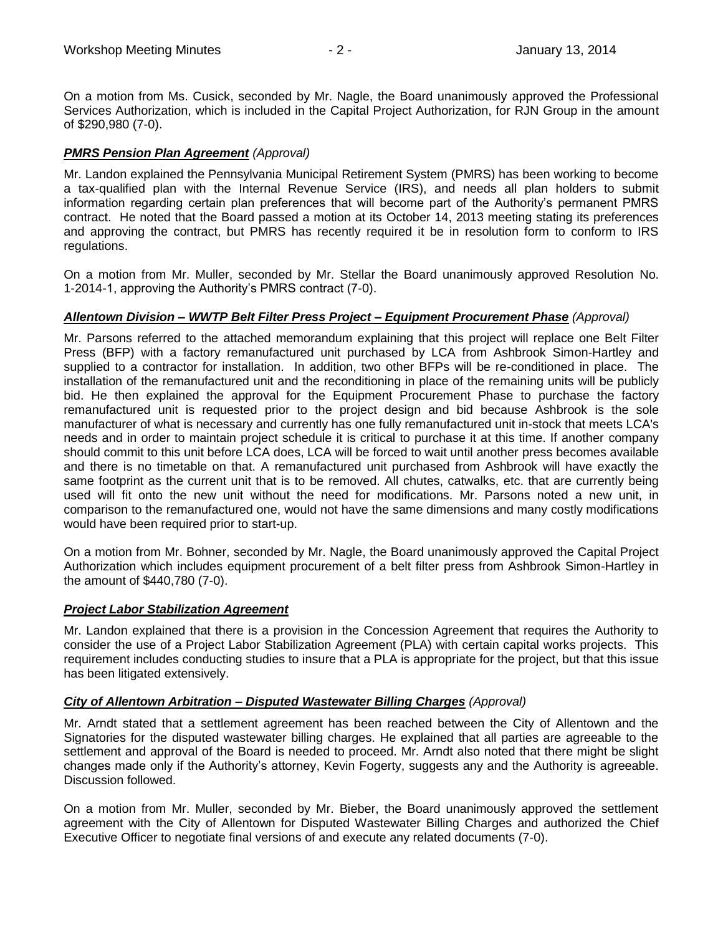On a motion from Ms. Cusick, seconded by Mr. Nagle, the Board unanimously approved the Professional Services Authorization, which is included in the Capital Project Authorization, for RJN Group in the amount of \$290,980 (7-0).

# *PMRS Pension Plan Agreement (Approval)*

Mr. Landon explained the Pennsylvania Municipal Retirement System (PMRS) has been working to become a tax-qualified plan with the Internal Revenue Service (IRS), and needs all plan holders to submit information regarding certain plan preferences that will become part of the Authority's permanent PMRS contract. He noted that the Board passed a motion at its October 14, 2013 meeting stating its preferences and approving the contract, but PMRS has recently required it be in resolution form to conform to IRS regulations.

On a motion from Mr. Muller, seconded by Mr. Stellar the Board unanimously approved Resolution No. 1-2014-1, approving the Authority's PMRS contract (7-0).

## *Allentown Division – WWTP Belt Filter Press Project – Equipment Procurement Phase (Approval)*

Mr. Parsons referred to the attached memorandum explaining that this project will replace one Belt Filter Press (BFP) with a factory remanufactured unit purchased by LCA from Ashbrook Simon-Hartley and supplied to a contractor for installation. In addition, two other BFPs will be re-conditioned in place. The installation of the remanufactured unit and the reconditioning in place of the remaining units will be publicly bid. He then explained the approval for the Equipment Procurement Phase to purchase the factory remanufactured unit is requested prior to the project design and bid because Ashbrook is the sole manufacturer of what is necessary and currently has one fully remanufactured unit in-stock that meets LCA's needs and in order to maintain project schedule it is critical to purchase it at this time. If another company should commit to this unit before LCA does, LCA will be forced to wait until another press becomes available and there is no timetable on that. A remanufactured unit purchased from Ashbrook will have exactly the same footprint as the current unit that is to be removed. All chutes, catwalks, etc. that are currently being used will fit onto the new unit without the need for modifications. Mr. Parsons noted a new unit, in comparison to the remanufactured one, would not have the same dimensions and many costly modifications would have been required prior to start-up.

On a motion from Mr. Bohner, seconded by Mr. Nagle, the Board unanimously approved the Capital Project Authorization which includes equipment procurement of a belt filter press from Ashbrook Simon-Hartley in the amount of \$440,780 (7-0).

## *Project Labor Stabilization Agreement*

Mr. Landon explained that there is a provision in the Concession Agreement that requires the Authority to consider the use of a Project Labor Stabilization Agreement (PLA) with certain capital works projects. This requirement includes conducting studies to insure that a PLA is appropriate for the project, but that this issue has been litigated extensively.

## *City of Allentown Arbitration – Disputed Wastewater Billing Charges (Approval)*

Mr. Arndt stated that a settlement agreement has been reached between the City of Allentown and the Signatories for the disputed wastewater billing charges. He explained that all parties are agreeable to the settlement and approval of the Board is needed to proceed. Mr. Arndt also noted that there might be slight changes made only if the Authority's attorney, Kevin Fogerty, suggests any and the Authority is agreeable. Discussion followed.

On a motion from Mr. Muller, seconded by Mr. Bieber, the Board unanimously approved the settlement agreement with the City of Allentown for Disputed Wastewater Billing Charges and authorized the Chief Executive Officer to negotiate final versions of and execute any related documents (7-0).